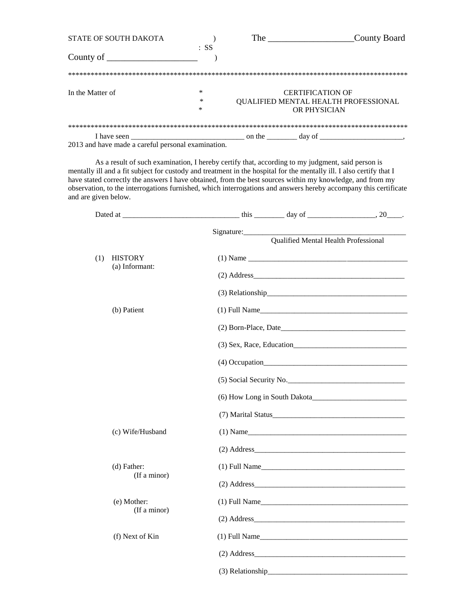| STATE OF SOUTH DAKOTA |        | The                                  | County Board |
|-----------------------|--------|--------------------------------------|--------------|
| County of             | $:$ SS |                                      |              |
|                       |        |                                      |              |
|                       |        |                                      |              |
| In the Matter of      | ∗      | <b>CERTIFICATION OF</b>              |              |
|                       | *      | QUALIFIED MENTAL HEALTH PROFESSIONAL |              |
|                       | *      | OR PHYSICIAN                         |              |
|                       |        |                                      |              |
| I have seen           |        | on the<br>day of                     |              |

2013 and have made a careful personal examination.

As a result of such examination, I hereby certify that, according to my judgment, said person is mentally ill and a fit subject for custody and treatment in the hospital for the mentally ill. I also certify that I have stated correctly the answers I have obtained, from the best sources within my knowledge, and from my observation, to the interrogations furnished, which interrogations and answers hereby accompany this certificate and are given below.

|     |                                  | Qualified Mental Health Professional |  |
|-----|----------------------------------|--------------------------------------|--|
| (1) | <b>HISTORY</b><br>(a) Informant: |                                      |  |
|     |                                  | $(2)$ Address                        |  |
|     |                                  | $(3)$ Relationship                   |  |
|     | (b) Patient                      |                                      |  |
|     |                                  | $(2)$ Born-Place, Date               |  |
|     |                                  |                                      |  |
|     |                                  |                                      |  |
|     |                                  | (5) Social Security No.              |  |
|     |                                  |                                      |  |
|     |                                  |                                      |  |
|     | (c) Wife/Husband                 | $(1)$ Name                           |  |
|     |                                  | $(2)$ Address                        |  |
|     | (d) Father:<br>(If a minor)      | $(1)$ Full Name                      |  |
|     |                                  |                                      |  |
|     | (e) Mother:<br>(If a minor)      |                                      |  |
|     |                                  | $(2)$ Address                        |  |
|     | (f) Next of Kin                  | $(1)$ Full Name                      |  |
|     |                                  | $(2)$ Address                        |  |
|     |                                  |                                      |  |